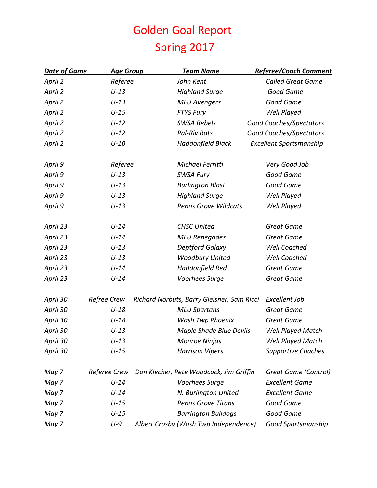## Golden Goal Report Spring 2017

| <b>Date of Game</b> | <b>Age Group</b> | <b>Team Name</b>                           | <b>Referee/Coach Comment</b> |
|---------------------|------------------|--------------------------------------------|------------------------------|
| April 2             | Referee          | John Kent                                  | <b>Called Great Game</b>     |
| April 2             | $U-13$           | <b>Highland Surge</b>                      | Good Game                    |
| April 2             | $U-13$           | <b>MLU Avengers</b>                        | Good Game                    |
| April 2             | $U-15$           | <b>FTYS Fury</b>                           | Well Played                  |
| April 2             | $U-12$           | <b>SWSA Rebels</b>                         | Good Coaches/Spectators      |
| April 2             | $U-12$           | <b>Pal-Riv Rats</b>                        | Good Coaches/Spectators      |
| April 2             | $U-10$           | Haddonfield Black                          | Excellent Sportsmanship      |
| April 9             | Referee          | Michael Ferritti                           | Very Good Job                |
| April 9             | $U-13$           | <b>SWSA Fury</b>                           | Good Game                    |
| April 9             | $U-13$           | <b>Burlington Blast</b>                    | Good Game                    |
| April 9             | $U-13$           | <b>Highland Surge</b>                      | Well Played                  |
| April 9             | $U-13$           | <b>Penns Grove Wildcats</b>                | Well Played                  |
| April 23            | $U-14$           | <b>CHSC United</b>                         | <b>Great Game</b>            |
| April 23            | $U-14$           | <b>MLU Renegades</b>                       | <b>Great Game</b>            |
| April 23            | $U-13$           | Deptford Galaxy                            | <b>Well Coached</b>          |
| April 23            | $U-13$           | <b>Woodbury United</b>                     | Well Coached                 |
| April 23            | $U-14$           | Haddonfield Red                            | <b>Great Game</b>            |
| April 23            | $U-14$           | Voorhees Surge                             | <b>Great Game</b>            |
| April 30            | Refree Crew      | Richard Norbuts, Barry Gleisner, Sam Ricci | Excellent Job                |
| April 30            | $U-18$           | <b>MLU Spartans</b>                        | <b>Great Game</b>            |
| April 30            | $U-18$           | Wash Twp Phoenix                           | <b>Great Game</b>            |
| April 30            | $U-13$           | <b>Maple Shade Blue Devils</b>             | Well Played Match            |
| April 30            | $U-13$           | Monroe Ninjas                              | <b>Well Played Match</b>     |
| April 30            | $U-15$           | <b>Harrison Vipers</b>                     | <b>Supportive Coaches</b>    |
| May 7               | Referee Crew     | Don Klecher, Pete Woodcock, Jim Griffin    | Great Game (Control)         |
| May 7               | $U-14$           | Voorhees Surge                             | <b>Excellent Game</b>        |
| May 7               | $U-14$           | N. Burlington United                       | <b>Excellent Game</b>        |
| May 7               | $U-15$           | <b>Penns Grove Titans</b>                  | Good Game                    |
| May 7               | $U-15$           | <b>Barrington Bulldogs</b>                 | Good Game                    |
| May 7               | $U-9$            | Albert Crosby (Wash Twp Independence)      | Good Sportsmanship           |